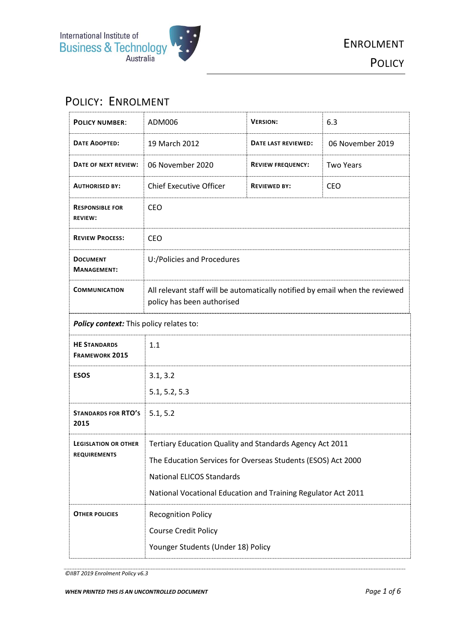

# POLICY: ENROLMENT

| <b>POLICY NUMBER:</b>                        | ADM006                                                                                                     | <b>VERSION:</b>          | 6.3              |
|----------------------------------------------|------------------------------------------------------------------------------------------------------------|--------------------------|------------------|
| <b>DATE ADOPTED:</b>                         | 19 March 2012                                                                                              | DATE LAST REVIEWED:      | 06 November 2019 |
| DATE OF NEXT REVIEW:                         | 06 November 2020                                                                                           | <b>REVIEW FREQUENCY:</b> | <b>Two Years</b> |
| <b>AUTHORISED BY:</b>                        | <b>Chief Executive Officer</b>                                                                             | <b>REVIEWED BY:</b>      | <b>CEO</b>       |
| <b>RESPONSIBLE FOR</b><br><b>REVIEW:</b>     | <b>CEO</b>                                                                                                 |                          |                  |
| <b>REVIEW PROCESS:</b>                       | <b>CEO</b>                                                                                                 |                          |                  |
| <b>DOCUMENT</b><br><b>MANAGEMENT:</b>        | U:/Policies and Procedures                                                                                 |                          |                  |
| <b>COMMUNICATION</b>                         | All relevant staff will be automatically notified by email when the reviewed<br>policy has been authorised |                          |                  |
| Policy context: This policy relates to:      |                                                                                                            |                          |                  |
| <b>HE STANDARDS</b><br><b>FRAMEWORK 2015</b> | 1.1                                                                                                        |                          |                  |
| <b>ESOS</b>                                  | 3.1, 3.2                                                                                                   |                          |                  |
|                                              | 5.1, 5.2, 5.3                                                                                              |                          |                  |
| <b>STANDARDS FOR RTO'S</b><br>2015           | 5.1, 5.2                                                                                                   |                          |                  |
| <b>LEGISLATION OR OTHER</b>                  | Tertiary Education Quality and Standards Agency Act 2011                                                   |                          |                  |
| <b>REQUIREMENTS</b>                          | The Education Services for Overseas Students (ESOS) Act 2000                                               |                          |                  |
|                                              | <b>National ELICOS Standards</b>                                                                           |                          |                  |
|                                              | National Vocational Education and Training Regulator Act 2011                                              |                          |                  |
| <b>OTHER POLICIES</b>                        | <b>Recognition Policy</b>                                                                                  |                          |                  |
|                                              | Course Credit Policy                                                                                       |                          |                  |
|                                              | Younger Students (Under 18) Policy                                                                         |                          |                  |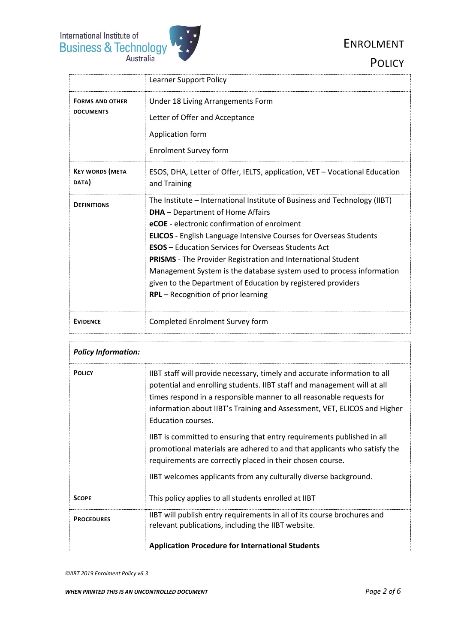#### ENROLMENT

**POLICY** 



|                                            | <b>Learner Support Policy</b>                                                                                                                                                                                                                                                                                                                                                                                                                                                                                                                                              |
|--------------------------------------------|----------------------------------------------------------------------------------------------------------------------------------------------------------------------------------------------------------------------------------------------------------------------------------------------------------------------------------------------------------------------------------------------------------------------------------------------------------------------------------------------------------------------------------------------------------------------------|
| <b>FORMS AND OTHER</b><br><b>DOCUMENTS</b> | Under 18 Living Arrangements Form<br>Letter of Offer and Acceptance<br>Application form<br><b>Enrolment Survey form</b>                                                                                                                                                                                                                                                                                                                                                                                                                                                    |
|                                            |                                                                                                                                                                                                                                                                                                                                                                                                                                                                                                                                                                            |
| <b>KEY WORDS (META</b><br>DATA)            | ESOS, DHA, Letter of Offer, IELTS, application, VET - Vocational Education<br>and Training                                                                                                                                                                                                                                                                                                                                                                                                                                                                                 |
| <b>DEFINITIONS</b>                         | The Institute - International Institute of Business and Technology (IIBT)<br><b>DHA</b> – Department of Home Affairs<br>eCOE - electronic confirmation of enrolment<br><b>ELICOS</b> - English Language Intensive Courses for Overseas Students<br><b>ESOS</b> – Education Services for Overseas Students Act<br><b>PRISMS</b> - The Provider Registration and International Student<br>Management System is the database system used to process information<br>given to the Department of Education by registered providers<br><b>RPL</b> – Recognition of prior learning |
| <b>EVIDENCE</b>                            | Completed Enrolment Survey form                                                                                                                                                                                                                                                                                                                                                                                                                                                                                                                                            |

| <b>Policy Information:</b> |                                                                                                                                                                                                                                                                                                                                |  |
|----------------------------|--------------------------------------------------------------------------------------------------------------------------------------------------------------------------------------------------------------------------------------------------------------------------------------------------------------------------------|--|
| <b>POLICY</b>              | IIBT staff will provide necessary, timely and accurate information to all<br>potential and enrolling students. IIBT staff and management will at all<br>times respond in a responsible manner to all reasonable requests for<br>information about IIBT's Training and Assessment, VET, ELICOS and Higher<br>Education courses. |  |
|                            | IIBT is committed to ensuring that entry requirements published in all<br>promotional materials are adhered to and that applicants who satisfy the<br>requirements are correctly placed in their chosen course.<br>IIBT welcomes applicants from any culturally diverse background.                                            |  |
|                            |                                                                                                                                                                                                                                                                                                                                |  |
| <b>SCOPE</b>               | This policy applies to all students enrolled at IIBT                                                                                                                                                                                                                                                                           |  |
| <b>PROCEDURES</b>          | IIBT will publish entry requirements in all of its course brochures and<br>relevant publications, including the IIBT website.                                                                                                                                                                                                  |  |
|                            | <b>Application Procedure for International Students</b>                                                                                                                                                                                                                                                                        |  |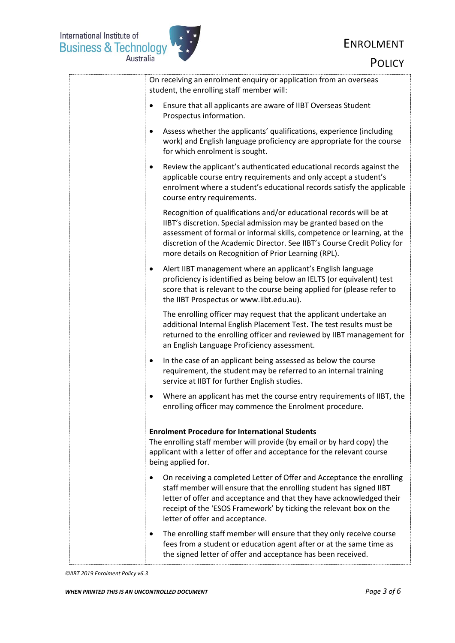## ENROLMENT



**POLICY** 

| On receiving an enrolment enquiry or application from an overseas<br>student, the enrolling staff member will:                                                                                                                                                                                                                                         |
|--------------------------------------------------------------------------------------------------------------------------------------------------------------------------------------------------------------------------------------------------------------------------------------------------------------------------------------------------------|
| Ensure that all applicants are aware of IIBT Overseas Student<br>$\bullet$<br>Prospectus information.                                                                                                                                                                                                                                                  |
| Assess whether the applicants' qualifications, experience (including<br>$\bullet$<br>work) and English language proficiency are appropriate for the course<br>for which enrolment is sought.                                                                                                                                                           |
| Review the applicant's authenticated educational records against the<br>٠<br>applicable course entry requirements and only accept a student's<br>enrolment where a student's educational records satisfy the applicable<br>course entry requirements.                                                                                                  |
| Recognition of qualifications and/or educational records will be at<br>IIBT's discretion. Special admission may be granted based on the<br>assessment of formal or informal skills, competence or learning, at the<br>discretion of the Academic Director. See IIBT's Course Credit Policy for<br>more details on Recognition of Prior Learning (RPL). |
| Alert IIBT management where an applicant's English language<br>$\bullet$<br>proficiency is identified as being below an IELTS (or equivalent) test<br>score that is relevant to the course being applied for (please refer to<br>the IIBT Prospectus or www.iibt.edu.au).                                                                              |
| The enrolling officer may request that the applicant undertake an<br>additional Internal English Placement Test. The test results must be<br>returned to the enrolling officer and reviewed by IIBT management for<br>an English Language Proficiency assessment.                                                                                      |
| In the case of an applicant being assessed as below the course<br>$\bullet$<br>requirement, the student may be referred to an internal training<br>service at IIBT for further English studies.                                                                                                                                                        |
| Where an applicant has met the course entry requirements of IIBT, the<br>$\bullet$<br>enrolling officer may commence the Enrolment procedure.                                                                                                                                                                                                          |
| <b>Enrolment Procedure for International Students</b><br>The enrolling staff member will provide (by email or by hard copy) the<br>applicant with a letter of offer and acceptance for the relevant course<br>being applied for.                                                                                                                       |
| On receiving a completed Letter of Offer and Acceptance the enrolling<br>٠<br>staff member will ensure that the enrolling student has signed IIBT<br>letter of offer and acceptance and that they have acknowledged their<br>receipt of the 'ESOS Framework' by ticking the relevant box on the<br>letter of offer and acceptance.                     |
| The enrolling staff member will ensure that they only receive course<br>$\bullet$<br>fees from a student or education agent after or at the same time as<br>the signed letter of offer and acceptance has been received.                                                                                                                               |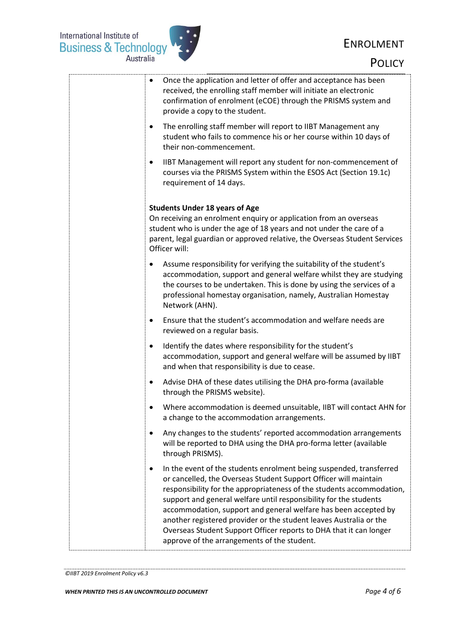International Institute of<br>Business & Technology<br>Australia



# ENROLMENT

**POLICY** 

| Once the application and letter of offer and acceptance has been<br>$\bullet$<br>received, the enrolling staff member will initiate an electronic<br>confirmation of enrolment (eCOE) through the PRISMS system and<br>provide a copy to the student.                                                                                                                                                                                                                                                                                                    |
|----------------------------------------------------------------------------------------------------------------------------------------------------------------------------------------------------------------------------------------------------------------------------------------------------------------------------------------------------------------------------------------------------------------------------------------------------------------------------------------------------------------------------------------------------------|
| The enrolling staff member will report to IIBT Management any<br>$\bullet$<br>student who fails to commence his or her course within 10 days of<br>their non-commencement.                                                                                                                                                                                                                                                                                                                                                                               |
| IIBT Management will report any student for non-commencement of<br>$\bullet$<br>courses via the PRISMS System within the ESOS Act (Section 19.1c)<br>requirement of 14 days.                                                                                                                                                                                                                                                                                                                                                                             |
| <b>Students Under 18 years of Age</b><br>On receiving an enrolment enquiry or application from an overseas<br>student who is under the age of 18 years and not under the care of a<br>parent, legal guardian or approved relative, the Overseas Student Services<br>Officer will:                                                                                                                                                                                                                                                                        |
| Assume responsibility for verifying the suitability of the student's<br>accommodation, support and general welfare whilst they are studying<br>the courses to be undertaken. This is done by using the services of a<br>professional homestay organisation, namely, Australian Homestay<br>Network (AHN).                                                                                                                                                                                                                                                |
| Ensure that the student's accommodation and welfare needs are<br>٠<br>reviewed on a regular basis.                                                                                                                                                                                                                                                                                                                                                                                                                                                       |
| Identify the dates where responsibility for the student's<br>$\bullet$<br>accommodation, support and general welfare will be assumed by IIBT<br>and when that responsibility is due to cease.                                                                                                                                                                                                                                                                                                                                                            |
| Advise DHA of these dates utilising the DHA pro-forma (available<br>$\bullet$<br>through the PRISMS website).                                                                                                                                                                                                                                                                                                                                                                                                                                            |
| Where accommodation is deemed unsuitable, IIBT will contact AHN for<br>a change to the accommodation arrangements.                                                                                                                                                                                                                                                                                                                                                                                                                                       |
| Any changes to the students' reported accommodation arrangements<br>will be reported to DHA using the DHA pro-forma letter (available<br>through PRISMS).                                                                                                                                                                                                                                                                                                                                                                                                |
| In the event of the students enrolment being suspended, transferred<br>٠<br>or cancelled, the Overseas Student Support Officer will maintain<br>responsibility for the appropriateness of the students accommodation,<br>support and general welfare until responsibility for the students<br>accommodation, support and general welfare has been accepted by<br>another registered provider or the student leaves Australia or the<br>Overseas Student Support Officer reports to DHA that it can longer<br>approve of the arrangements of the student. |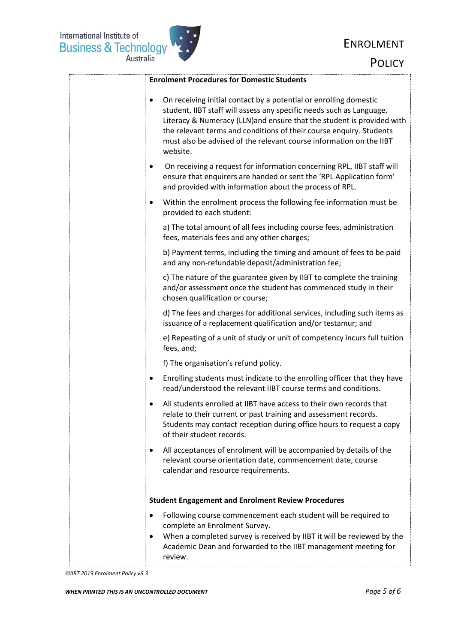

| <b>Enrolment Procedures for Domestic Students</b>                                                                                                                                                                                                                                                                                                                                  |
|------------------------------------------------------------------------------------------------------------------------------------------------------------------------------------------------------------------------------------------------------------------------------------------------------------------------------------------------------------------------------------|
| On receiving initial contact by a potential or enrolling domestic<br>٠<br>student, IIBT staff will assess any specific needs such as Language,<br>Literacy & Numeracy (LLN) and ensure that the student is provided with<br>the relevant terms and conditions of their course enquiry. Students<br>must also be advised of the relevant course information on the IIBT<br>website. |
| On receiving a request for information concerning RPL, IIBT staff will<br>ensure that enquirers are handed or sent the 'RPL Application form'<br>and provided with information about the process of RPL.                                                                                                                                                                           |
| Within the enrolment process the following fee information must be<br>٠<br>provided to each student:                                                                                                                                                                                                                                                                               |
| a) The total amount of all fees including course fees, administration<br>fees, materials fees and any other charges;                                                                                                                                                                                                                                                               |
| b) Payment terms, including the timing and amount of fees to be paid<br>and any non-refundable deposit/administration fee;                                                                                                                                                                                                                                                         |
| c) The nature of the guarantee given by IIBT to complete the training<br>and/or assessment once the student has commenced study in their<br>chosen qualification or course;                                                                                                                                                                                                        |
| d) The fees and charges for additional services, including such items as<br>issuance of a replacement qualification and/or testamur; and                                                                                                                                                                                                                                           |
| e) Repeating of a unit of study or unit of competency incurs full tuition<br>fees, and;                                                                                                                                                                                                                                                                                            |
| f) The organisation's refund policy.                                                                                                                                                                                                                                                                                                                                               |
| Enrolling students must indicate to the enrolling officer that they have<br>$\bullet$<br>read/understood the relevant IIBT course terms and conditions.                                                                                                                                                                                                                            |
| All students enrolled at IIBT have access to their own records that<br>relate to their current or past training and assessment records.<br>Students may contact reception during office hours to request a copy<br>of their student records.                                                                                                                                       |
| All acceptances of enrolment will be accompanied by details of the<br>٠<br>relevant course orientation date, commencement date, course<br>calendar and resource requirements.                                                                                                                                                                                                      |
| <b>Student Engagement and Enrolment Review Procedures</b>                                                                                                                                                                                                                                                                                                                          |
| Following course commencement each student will be required to<br>$\bullet$<br>complete an Enrolment Survey.<br>When a completed survey is received by IIBT it will be reviewed by the<br>٠<br>Academic Dean and forwarded to the IIBT management meeting for<br>review.                                                                                                           |